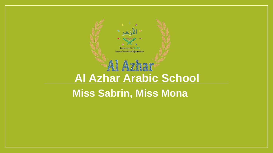

#### **Miss Sabrin, Miss Mona**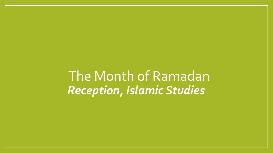*Reception, Islamic Studies* The Month of Ramadan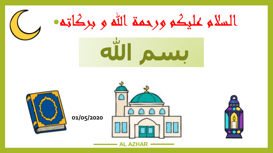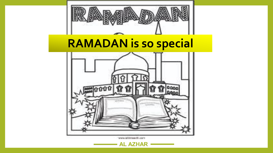

# **RAMADAN is so special**



Www.attitravidit.com

**AL AZHAR**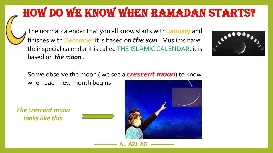# How do we know when Ramadan starts?

The normal calendar that you all know starts with **January** and finishes with December it is based on *the sun* . Muslims have their special calendar it is called THE ISLAMIC CALENDAR, it is based on *the moon* .



So we observe the moon ( we see a *crescent moon*) to know when each new month begins.

*The crescent moon looks like this*



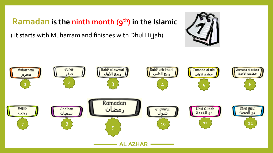**Ramadan is the ninth month (9 th) in the Islamic** 

( it starts with Muharram and finishes with Dhul Hijjah)



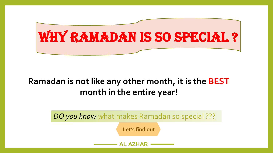

#### **Ramadan is not like any other month, it is the BEST month in the entire year!**

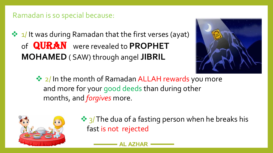#### Ramadan is so special because:

☆ 1/ It was during Ramadan that the first verses (ayat) of **QURAN** were revealed to PROPHET **MOHAMED** ( SAW) through angel **JIBRIL**



❖ 2/ In the month of Ramadan ALLAH rewards you more and more for your good deeds than during other months, and *forgives* more.



 $\frac{1}{2}$  The dua of a fasting person when he breaks his fast is not rejected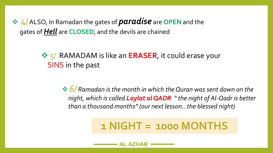4/ALSO, In Ramadan the gates of *paradise* are **OPEN** and the gates of *Hell* are **CLOSED**, and the devils are chained

#### **→ 5/ RAMADAM is like an ERASER**, it could erase your SINS in the past

 *6/ Ramadan is the month in which the Quran was sent down on the night, which is called Laylat al QADR " the night of Al-Qadr is better than a thousand months" (our next lesson.. the blessed night)*

### **1 NIGHT = 1000 MONTHS**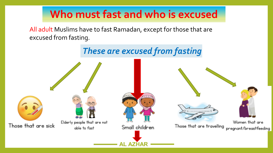### **Who must fast and who is excused**

All adult Muslims have to fast Ramadan, except for those that are excused from fasting.

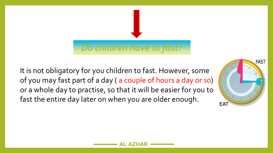#### *Do children have to fast?*

It is not obligatory for you children to fast. However, some of you may fast part of a day ( a couple of hours a day or so) or a whole day to practise, so that it will be easier for you to fast the entire day later on when you are older enough.

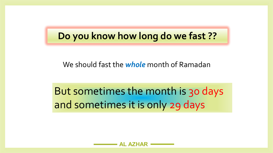#### **Do you know how long do we fast ??**

We should fast the *whole* month of Ramadan

But sometimes the month is 30 days and sometimes it is only 29 days

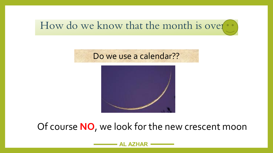### How do we know that the month is over...





#### Of course **NO**, we look for the new crescent moon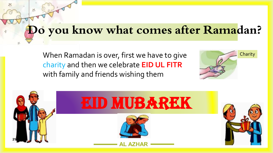## **Do you know what comes after Ramadan?**

When Ramadan is over, first we have to give charity and then we celebrate **EID UL FITR**  with family and friends wishing them